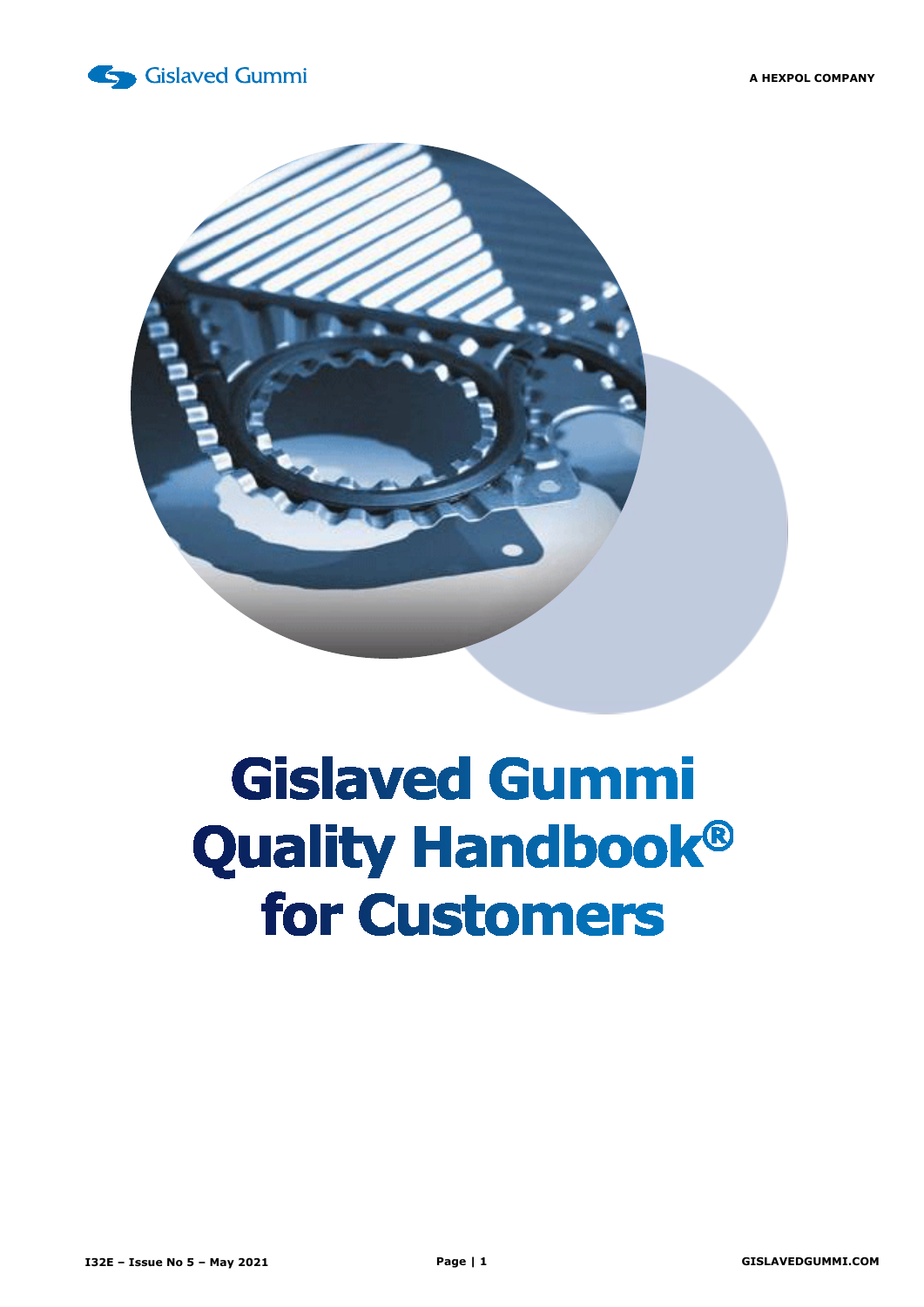



# **Gislaved Gummi Quality Handbook®** for Customers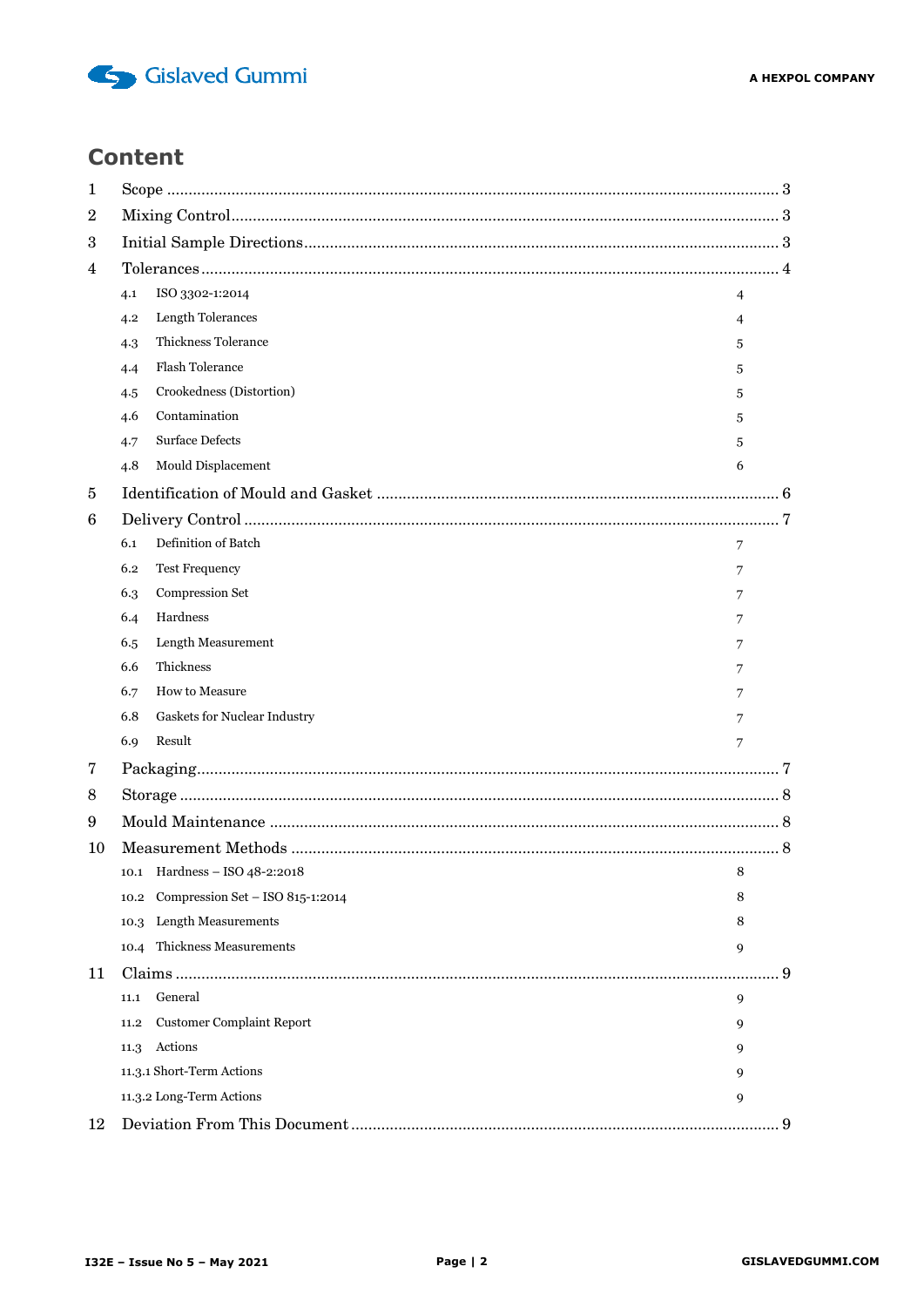

## **Content**

| 1  |                                |                                            |     |  |  |  |  |  |
|----|--------------------------------|--------------------------------------------|-----|--|--|--|--|--|
| 2  |                                |                                            |     |  |  |  |  |  |
| 3  |                                |                                            |     |  |  |  |  |  |
| 4  |                                |                                            |     |  |  |  |  |  |
|    | 4.1                            | ISO 3302-1:2014<br>4                       |     |  |  |  |  |  |
|    | 4.2                            | Length Tolerances<br>4                     |     |  |  |  |  |  |
|    | 4.3                            | Thickness Tolerance<br>5                   |     |  |  |  |  |  |
|    | 4.4                            | <b>Flash Tolerance</b><br>5                |     |  |  |  |  |  |
|    | 4.5                            | Crookedness (Distortion)<br>5              |     |  |  |  |  |  |
|    | 4.6                            | Contamination<br>5                         |     |  |  |  |  |  |
|    | 4.7                            | <b>Surface Defects</b><br>5                |     |  |  |  |  |  |
|    | 4.8                            | Mould Displacement<br>6                    |     |  |  |  |  |  |
| 5  |                                |                                            |     |  |  |  |  |  |
| 6  |                                |                                            |     |  |  |  |  |  |
|    | 6.1                            | Definition of Batch<br>7                   |     |  |  |  |  |  |
|    | 6.2                            | <b>Test Frequency</b><br>7                 |     |  |  |  |  |  |
|    | 6.3                            | Compression Set<br>7                       |     |  |  |  |  |  |
|    | 6.4                            | Hardness                                   |     |  |  |  |  |  |
|    | 6.5                            | Length Measurement<br>7                    |     |  |  |  |  |  |
|    | 6.6                            | Thickness<br>7                             |     |  |  |  |  |  |
|    | 6.7                            | How to Measure<br>7                        |     |  |  |  |  |  |
|    | 6.8                            | Gaskets for Nuclear Industry<br>7          |     |  |  |  |  |  |
|    | 6.9                            | Result<br>7                                |     |  |  |  |  |  |
| 7  |                                |                                            |     |  |  |  |  |  |
| 8  |                                |                                            |     |  |  |  |  |  |
| 9  |                                |                                            |     |  |  |  |  |  |
| 10 |                                |                                            |     |  |  |  |  |  |
|    |                                | 10.1 Hardness - ISO 48-2:2018<br>8         |     |  |  |  |  |  |
|    |                                | 10.2 Compression Set - ISO 815-1:2014<br>8 |     |  |  |  |  |  |
|    | 10.3                           | Length Measurements<br>8                   |     |  |  |  |  |  |
|    | 10.4                           | <b>Thickness Measurements</b><br>9         |     |  |  |  |  |  |
| 11 |                                |                                            | . 9 |  |  |  |  |  |
|    | 11.1                           | General<br>9                               |     |  |  |  |  |  |
|    | 11.2                           | <b>Customer Complaint Report</b><br>9      |     |  |  |  |  |  |
|    | 11.3                           | Actions<br>9                               |     |  |  |  |  |  |
|    | 11.3.1 Short-Term Actions<br>9 |                                            |     |  |  |  |  |  |
|    |                                | 11.3.2 Long-Term Actions<br>9              |     |  |  |  |  |  |
| 12 |                                |                                            |     |  |  |  |  |  |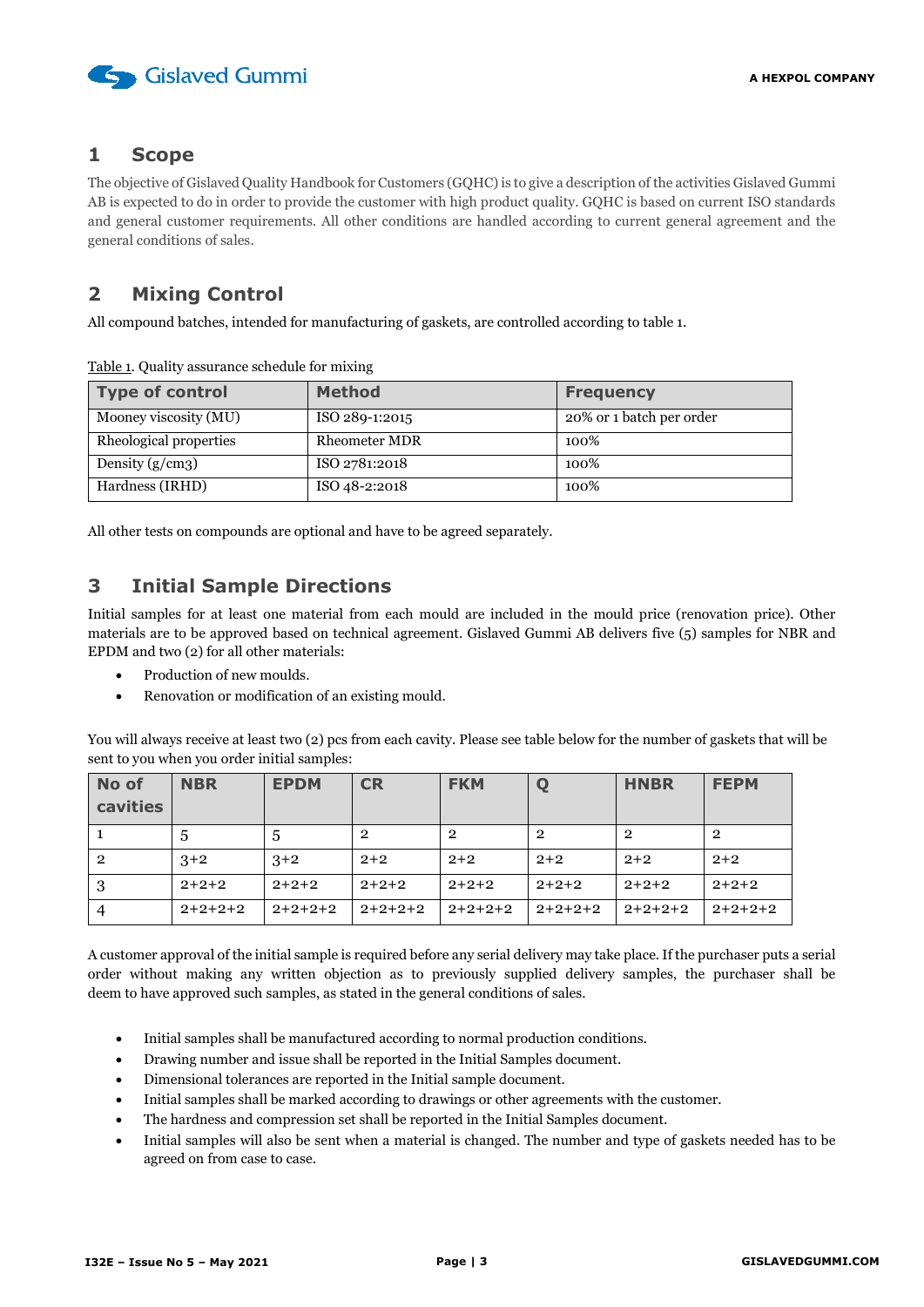

## <span id="page-2-0"></span>**1 Scope**

The objective of Gislaved Quality Handbook for Customers (GQHC) is to give a description of the activities Gislaved Gummi AB is expected to do in order to provide the customer with high product quality. GQHC is based on current ISO standards and general customer requirements. All other conditions are handled according to current general agreement and the general conditions of sales.

## <span id="page-2-1"></span>**2 Mixing Control**

All compound batches, intended for manufacturing of gaskets, are controlled according to table 1.

| <b>Type of control</b> | <b>Method</b>        | <b>Frequency</b>         |
|------------------------|----------------------|--------------------------|
| Mooney viscosity (MU)  | ISO 289-1:2015       | 20% or 1 batch per order |
| Rheological properties | <b>Rheometer MDR</b> | 100%                     |
| Density $(g/cm3)$      | ISO 2781:2018        | 100%                     |
| Hardness (IRHD)        | ISO 48-2:2018        | 100%                     |

Table 1. Quality assurance schedule for mixing

All other tests on compounds are optional and have to be agreed separately.

## <span id="page-2-2"></span>**3 Initial Sample Directions**

Initial samples for at least one material from each mould are included in the mould price (renovation price). Other materials are to be approved based on technical agreement. Gislaved Gummi AB delivers five (5) samples for NBR and EPDM and two (2) for all other materials:

- Production of new moulds.
- Renovation or modification of an existing mould.

You will always receive at least two (2) pcs from each cavity. Please see table below for the number of gaskets that will be sent to you when you order initial samples:

| No of<br>cavities | <b>NBR</b> | <b>EPDM</b> | <b>CR</b>      | <b>FKM</b>     | Q              | <b>HNBR</b> | <b>FEPM</b> |
|-------------------|------------|-------------|----------------|----------------|----------------|-------------|-------------|
|                   | 5          | $5^{\circ}$ | $\overline{2}$ | $\overline{2}$ | $\overline{2}$ | 2           | $\mathbf 2$ |
| $\overline{2}$    | $3+2$      | $3+2$       | $2+2$          | $2+2$          | $2+2$          | $2+2$       | $2+2$       |
| 3                 | $2+2+2$    | $2+2+2$     | $2+2+2$        | $2+2+2$        | $2+2+2$        | $2+2+2$     | $2+2+2$     |
|                   | $2+2+2+2$  | $2+2+2+2$   | $2+2+2+2$      | $2+2+2+2$      | $2+2+2+2$      | $2+2+2+2$   | $2+2+2+2$   |

A customer approval of the initial sample is required before any serial delivery may take place. If the purchaser puts a serial order without making any written objection as to previously supplied delivery samples, the purchaser shall be deem to have approved such samples, as stated in the general conditions of sales.

- Initial samples shall be manufactured according to normal production conditions.
- Drawing number and issue shall be reported in the Initial Samples document.
- Dimensional tolerances are reported in the Initial sample document.
- Initial samples shall be marked according to drawings or other agreements with the customer.
- The hardness and compression set shall be reported in the Initial Samples document.
- Initial samples will also be sent when a material is changed. The number and type of gaskets needed has to be agreed on from case to case.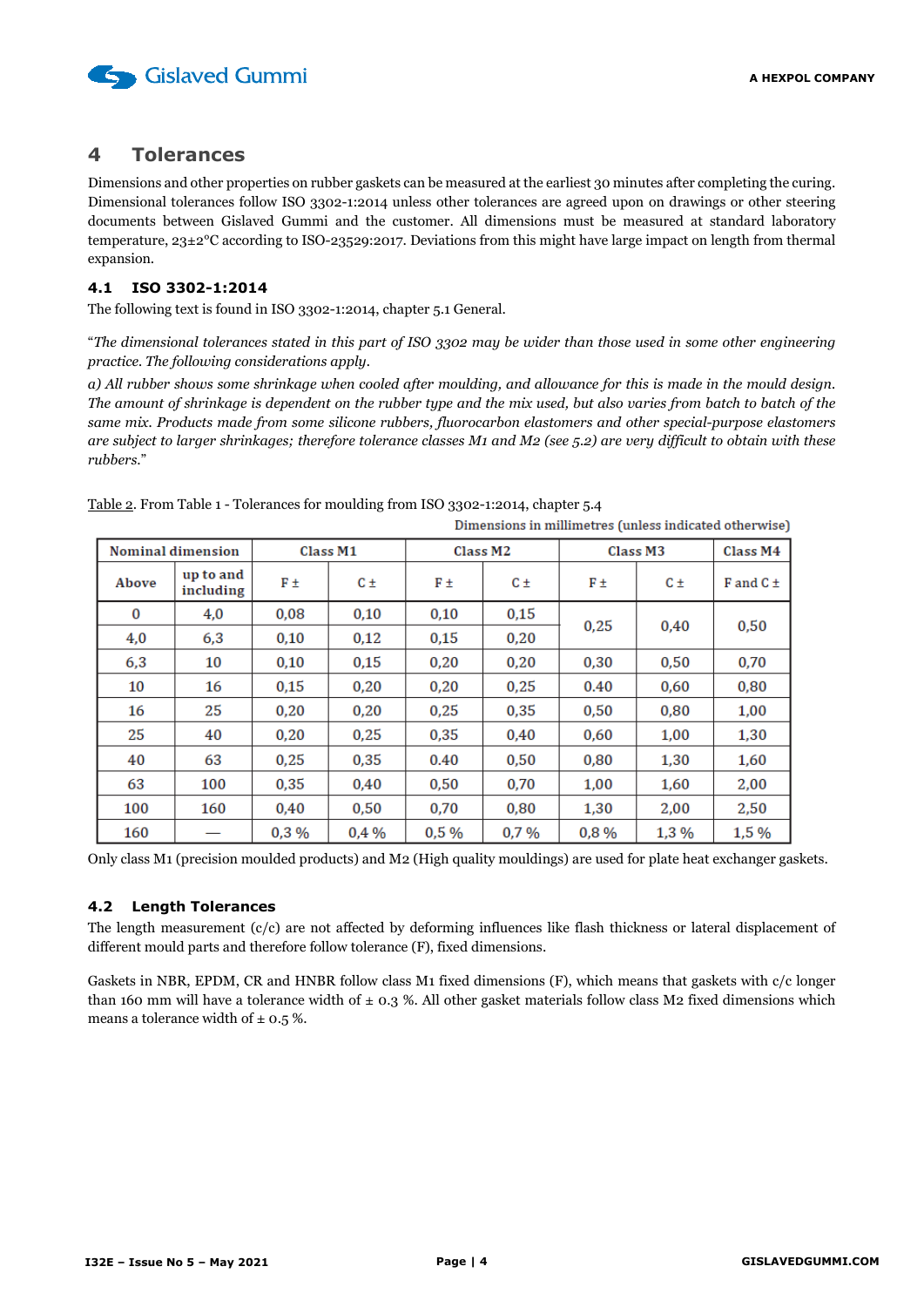

## <span id="page-3-0"></span>**4 Tolerances**

Dimensions and other properties on rubber gaskets can be measured at the earliest 30 minutes after completing the curing. Dimensional tolerances follow ISO 3302-1:2014 unless other tolerances are agreed upon on drawings or other steering documents between Gislaved Gummi and the customer. All dimensions must be measured at standard laboratory temperature, 23±2°C according to ISO-23529:2017. Deviations from this might have large impact on length from thermal expansion.

#### <span id="page-3-1"></span>**4.1 ISO 3302-1:2014**

The following text is found in ISO 3302-1:2014, chapter 5.1 General.

"*The dimensional tolerances stated in this part of ISO 3302 may be wider than those used in some other engineering practice. The following considerations apply.*

*a) All rubber shows some shrinkage when cooled after moulding, and allowance for this is made in the mould design. The amount of shrinkage is dependent on the rubber type and the mix used, but also varies from batch to batch of the same mix. Products made from some silicone rubbers, fluorocarbon elastomers and other special-purpose elastomers are subject to larger shrinkages; therefore tolerance classes M1 and M2 (see 5.2) are very difficult to obtain with these rubbers*."

|                          |                        |          |         |                      |         | Dimensions in millimetres (unless indicated otherwise) |         |                 |      |
|--------------------------|------------------------|----------|---------|----------------------|---------|--------------------------------------------------------|---------|-----------------|------|
| <b>Nominal dimension</b> |                        | Class M1 |         | Class M <sub>2</sub> |         | Class M3                                               |         | Class M4        |      |
| Above                    | up to and<br>including | F±       | $C \pm$ | F±                   | $C \pm$ | F±                                                     | $C \pm$ | $F$ and $C \pm$ |      |
| $\bf{0}$                 | 4,0                    | 0,08     | 0,10    | 0,10                 | 0,15    | 0,25                                                   |         | 0.40            | 0,50 |
| 4,0                      | 6,3                    | 0,10     | 0.12    | 0.15                 | 0,20    |                                                        |         |                 |      |
| 6,3                      | 10                     | 0,10     | 0,15    | 0,20                 | 0,20    | 0,30                                                   | 0,50    | 0,70            |      |
| 10                       | 16                     | 0,15     | 0.20    | 0.20                 | 0,25    | 0.40                                                   | 0,60    | 0,80            |      |
| 16                       | 25                     | 0,20     | 0,20    | 0,25                 | 0,35    | 0,50                                                   | 0,80    | 1,00            |      |
| 25                       | 40                     | 0.20     | 0.25    | 0.35                 | 0.40    | 0.60                                                   | 1,00    | 1,30            |      |
| 40                       | 63                     | 0,25     | 0.35    | 0.40                 | 0,50    | 0,80                                                   | 1,30    | 1,60            |      |
| 63                       | 100                    | 0,35     | 0,40    | 0,50                 | 0,70    | 1,00                                                   | 1,60    | 2,00            |      |
| 100                      | 160                    | 0.40     | 0.50    | 0.70                 | 0.80    | 1,30                                                   | 2,00    | 2,50            |      |
| 160                      |                        | 0,3%     | 0.4%    | 0.5%                 | 0.7%    | 0,8%                                                   | 1,3 %   | 1,5 %           |      |

Table 2. From Table 1 - Tolerances for moulding from ISO 3302-1:2014, chapter 5.4

Only class M1 (precision moulded products) and M2 (High quality mouldings) are used for plate heat exchanger gaskets.

#### <span id="page-3-2"></span>**4.2 Length Tolerances**

The length measurement (c/c) are not affected by deforming influences like flash thickness or lateral displacement of different mould parts and therefore follow tolerance (F), fixed dimensions.

Gaskets in NBR, EPDM, CR and HNBR follow class M1 fixed dimensions (F), which means that gaskets with c/c longer than 160 mm will have a tolerance width of  $\pm$  0.3 %. All other gasket materials follow class M2 fixed dimensions which means a tolerance width of  $\pm$  0.5 %.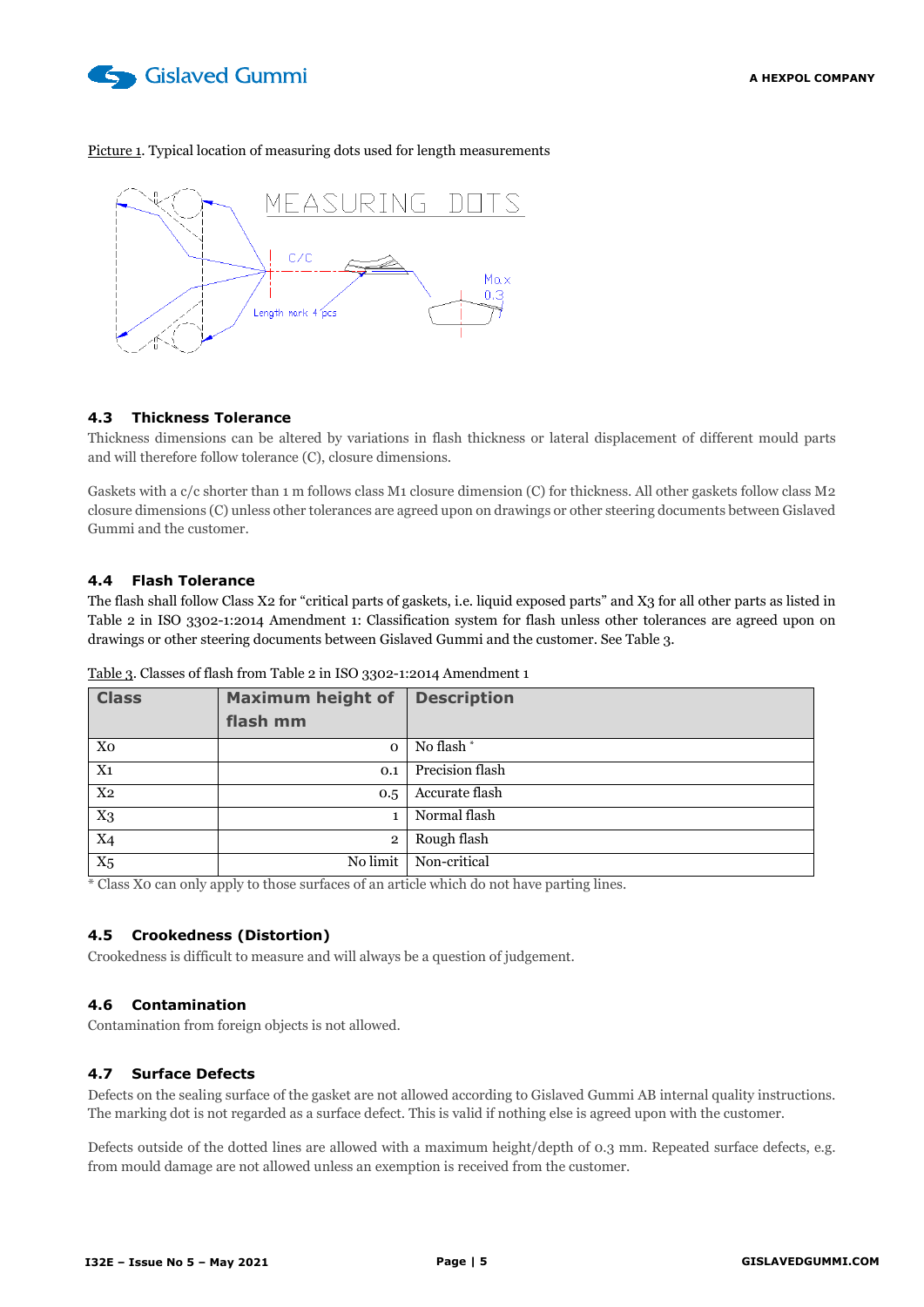

#### Picture 1. Typical location of measuring dots used for length measurements



#### <span id="page-4-0"></span>**4.3 Thickness Tolerance**

Thickness dimensions can be altered by variations in flash thickness or lateral displacement of different mould parts and will therefore follow tolerance (C), closure dimensions.

Gaskets with a c/c shorter than 1 m follows class M1 closure dimension (C) for thickness. All other gaskets follow class M2 closure dimensions (C) unless other tolerances are agreed upon on drawings or other steering documents between Gislaved Gummi and the customer.

#### <span id="page-4-1"></span>**4.4 Flash Tolerance**

The flash shall follow Class X2 for "critical parts of gaskets, i.e. liquid exposed parts" and X3 for all other parts as listed in Table 2 in ISO 3302-1:2014 Amendment 1: Classification system for flash unless other tolerances are agreed upon on drawings or other steering documents between Gislaved Gummi and the customer. See Table 3.

| <b>Class</b>   | <b>Maximum height of</b> | <b>Description</b> |
|----------------|--------------------------|--------------------|
|                | flash mm                 |                    |
| Xo             | $\mathbf 0$              | No flash*          |
| $X_{1}$        | 0.1                      | Precision flash    |
| X <sub>2</sub> | 0.5                      | Accurate flash     |
| $X_3$          |                          | Normal flash       |
| $X_4$          | $\overline{2}$           | Rough flash        |
| $X_5$          | No limit                 | Non-critical       |

Table 3. Classes of flash from Table 2 in ISO 3302-1:2014 Amendment 1

\* Class X0 can only apply to those surfaces of an article which do not have parting lines.

#### <span id="page-4-2"></span>**4.5 Crookedness (Distortion)**

Crookedness is difficult to measure and will always be a question of judgement.

#### <span id="page-4-3"></span>**4.6 Contamination**

Contamination from foreign objects is not allowed.

#### <span id="page-4-4"></span>**4.7 Surface Defects**

Defects on the sealing surface of the gasket are not allowed according to Gislaved Gummi AB internal quality instructions. The marking dot is not regarded as a surface defect. This is valid if nothing else is agreed upon with the customer.

Defects outside of the dotted lines are allowed with a maximum height/depth of 0.3 mm. Repeated surface defects, e.g. from mould damage are not allowed unless an exemption is received from the customer.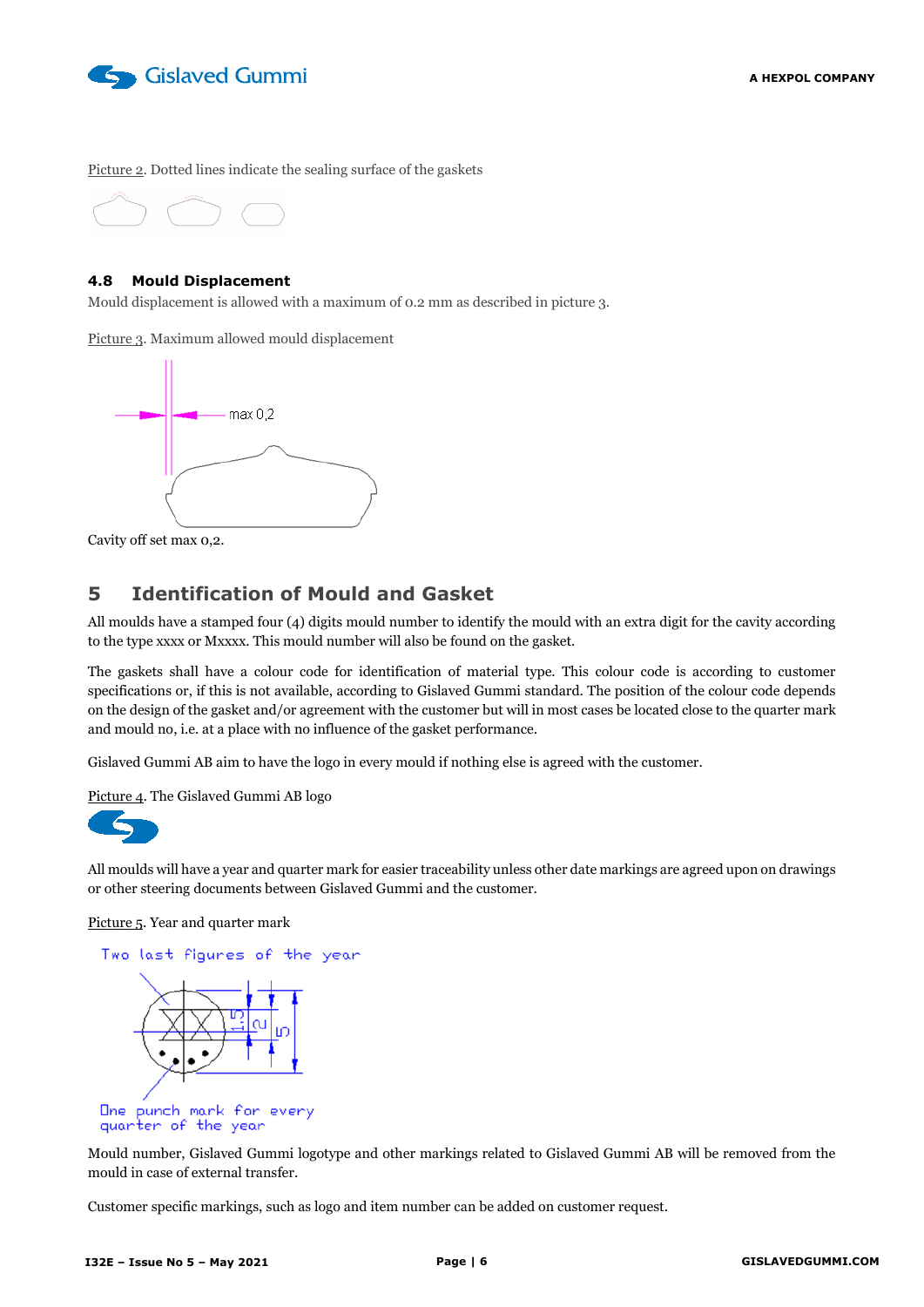

Picture 2. Dotted lines indicate the sealing surface of the gaskets



#### <span id="page-5-0"></span>**4.8 Mould Displacement**

Mould displacement is allowed with a maximum of 0.2 mm as described in picture 3.

Picture 3. Maximum allowed mould displacement



Cavity off set max 0,2.

## <span id="page-5-1"></span>**5 Identification of Mould and Gasket**

All moulds have a stamped four (4) digits mould number to identify the mould with an extra digit for the cavity according to the type xxxx or Mxxxx. This mould number will also be found on the gasket.

The gaskets shall have a colour code for identification of material type. This colour code is according to customer specifications or, if this is not available, according to Gislaved Gummi standard. The position of the colour code depends on the design of the gasket and/or agreement with the customer but will in most cases be located close to the quarter mark and mould no, i.e. at a place with no influence of the gasket performance.

Gislaved Gummi AB aim to have the logo in every mould if nothing else is agreed with the customer.

Picture 4. The Gislaved Gummi AB logo



All moulds will have a year and quarter mark for easier traceability unless other date markings are agreed upon on drawings or other steering documents between Gislaved Gummi and the customer.

Picture 5. Year and quarter mark



quarter of the year

Mould number, Gislaved Gummi logotype and other markings related to Gislaved Gummi AB will be removed from the mould in case of external transfer.

Customer specific markings, such as logo and item number can be added on customer request.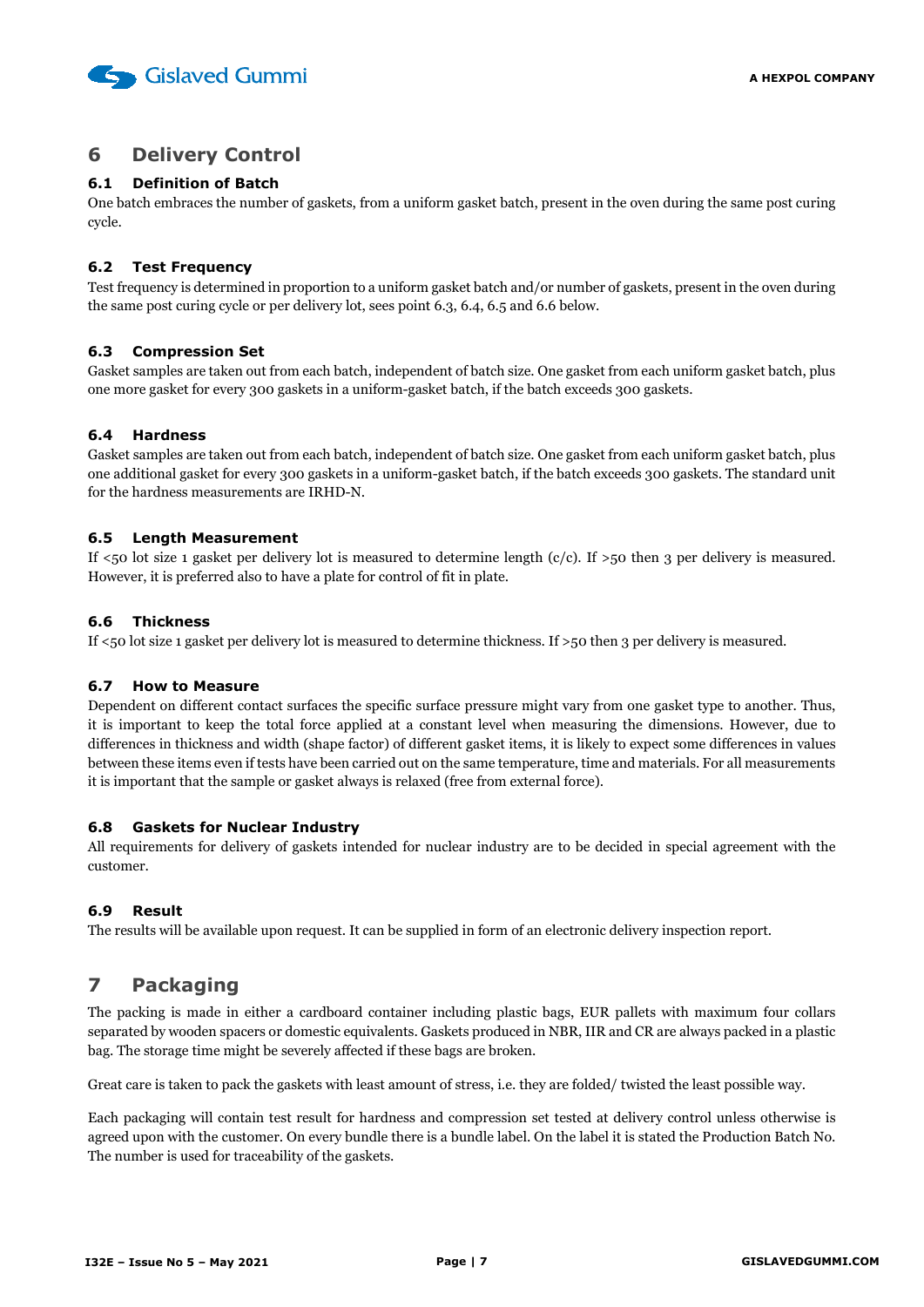

## <span id="page-6-0"></span>**6 Delivery Control**

#### <span id="page-6-1"></span>**6.1 Definition of Batch**

One batch embraces the number of gaskets, from a uniform gasket batch, present in the oven during the same post curing cycle.

#### <span id="page-6-2"></span>**6.2 Test Frequency**

Test frequency is determined in proportion to a uniform gasket batch and/or number of gaskets, present in the oven during the same post curing cycle or per delivery lot, sees point 6.3, 6.4, 6.5 and 6.6 below.

#### <span id="page-6-3"></span>**6.3 Compression Set**

Gasket samples are taken out from each batch, independent of batch size. One gasket from each uniform gasket batch, plus one more gasket for every 300 gaskets in a uniform-gasket batch, if the batch exceeds 300 gaskets.

#### <span id="page-6-4"></span>**6.4 Hardness**

Gasket samples are taken out from each batch, independent of batch size. One gasket from each uniform gasket batch, plus one additional gasket for every 300 gaskets in a uniform-gasket batch, if the batch exceeds 300 gaskets. The standard unit for the hardness measurements are IRHD-N.

#### <span id="page-6-5"></span>**6.5 Length Measurement**

If  $\leq$ 50 lot size 1 gasket per delivery lot is measured to determine length (c/c). If  $\geq$ 50 then 3 per delivery is measured. However, it is preferred also to have a plate for control of fit in plate.

#### <span id="page-6-6"></span>**6.6 Thickness**

If <50 lot size 1 gasket per delivery lot is measured to determine thickness. If >50 then 3 per delivery is measured.

#### <span id="page-6-7"></span>**6.7 How to Measure**

Dependent on different contact surfaces the specific surface pressure might vary from one gasket type to another. Thus, it is important to keep the total force applied at a constant level when measuring the dimensions. However, due to differences in thickness and width (shape factor) of different gasket items, it is likely to expect some differences in values between these items even if tests have been carried out on the same temperature, time and materials. For all measurements it is important that the sample or gasket always is relaxed (free from external force).

#### <span id="page-6-8"></span>**6.8 Gaskets for Nuclear Industry**

All requirements for delivery of gaskets intended for nuclear industry are to be decided in special agreement with the customer.

#### <span id="page-6-9"></span>**6.9 Result**

The results will be available upon request. It can be supplied in form of an electronic delivery inspection report.

## <span id="page-6-10"></span>**7 Packaging**

The packing is made in either a cardboard container including plastic bags, EUR pallets with maximum four collars separated by wooden spacers or domestic equivalents. Gaskets produced in NBR, IIR and CR are always packed in a plastic bag. The storage time might be severely affected if these bags are broken.

Great care is taken to pack the gaskets with least amount of stress, i.e. they are folded/ twisted the least possible way.

Each packaging will contain test result for hardness and compression set tested at delivery control unless otherwise is agreed upon with the customer. On every bundle there is a bundle label. On the label it is stated the Production Batch No. The number is used for traceability of the gaskets.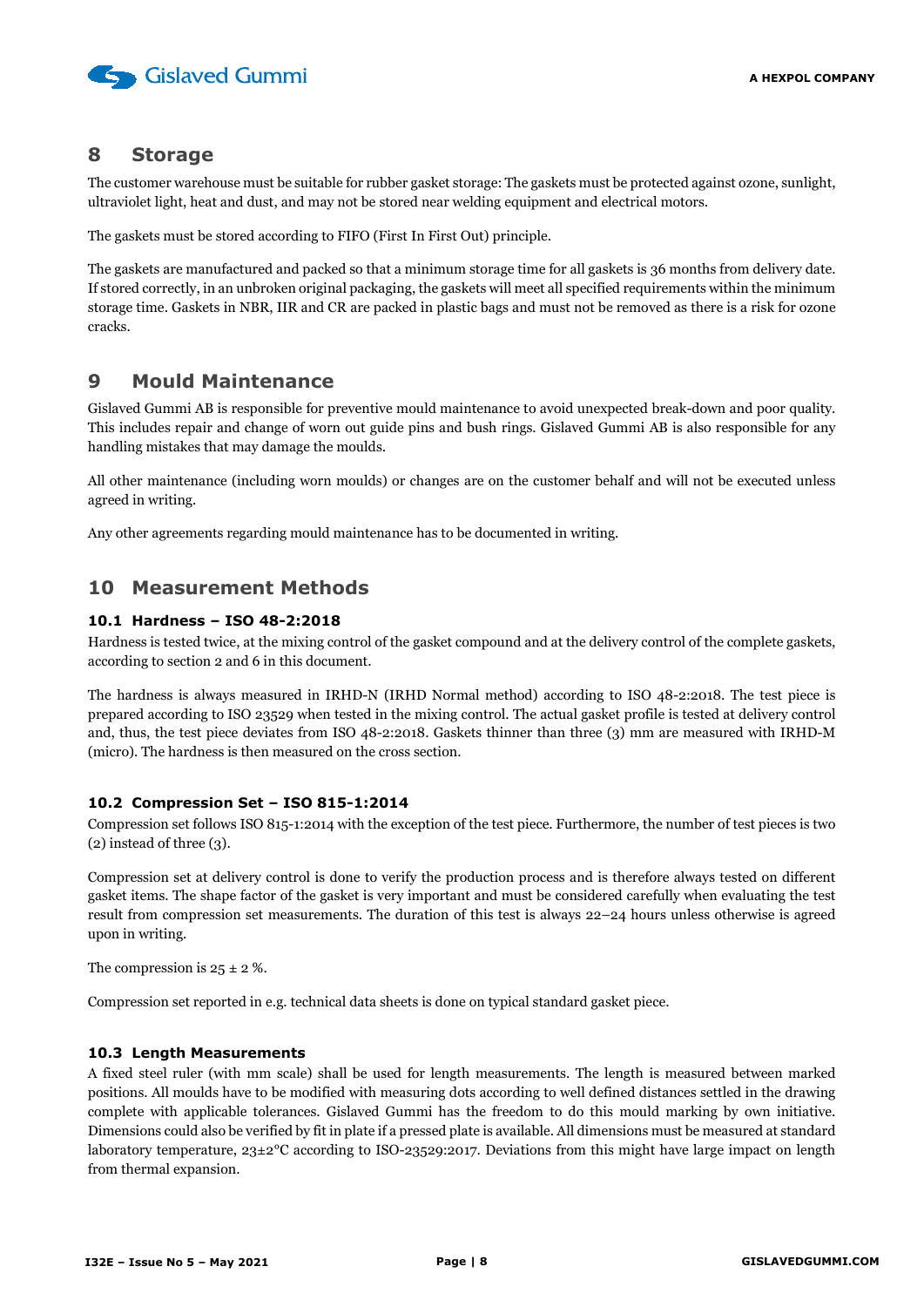

#### <span id="page-7-0"></span>**8 Storage**

The customer warehouse must be suitable for rubber gasket storage: The gaskets must be protected against ozone, sunlight, ultraviolet light, heat and dust, and may not be stored near welding equipment and electrical motors.

The gaskets must be stored according to FIFO (First In First Out) principle.

The gaskets are manufactured and packed so that a minimum storage time for all gaskets is 36 months from delivery date. If stored correctly, in an unbroken original packaging, the gaskets will meet all specified requirements within the minimum storage time. Gaskets in NBR, IIR and CR are packed in plastic bags and must not be removed as there is a risk for ozone cracks.

## <span id="page-7-1"></span>**9 Mould Maintenance**

Gislaved Gummi AB is responsible for preventive mould maintenance to avoid unexpected break-down and poor quality. This includes repair and change of worn out guide pins and bush rings. Gislaved Gummi AB is also responsible for any handling mistakes that may damage the moulds.

All other maintenance (including worn moulds) or changes are on the customer behalf and will not be executed unless agreed in writing.

Any other agreements regarding mould maintenance has to be documented in writing.

## <span id="page-7-2"></span>**10 Measurement Methods**

#### <span id="page-7-3"></span>**10.1 Hardness – ISO 48-2:2018**

Hardness is tested twice, at the mixing control of the gasket compound and at the delivery control of the complete gaskets, according to section 2 and 6 in this document.

The hardness is always measured in IRHD-N (IRHD Normal method) according to ISO 48-2:2018. The test piece is prepared according to ISO 23529 when tested in the mixing control. The actual gasket profile is tested at delivery control and, thus, the test piece deviates from ISO 48-2:2018. Gaskets thinner than three (3) mm are measured with IRHD-M (micro). The hardness is then measured on the cross section.

#### <span id="page-7-4"></span>**10.2 Compression Set – ISO 815-1:2014**

Compression set follows ISO 815-1:2014 with the exception of the test piece. Furthermore, the number of test pieces is two (2) instead of three (3).

Compression set at delivery control is done to verify the production process and is therefore always tested on different gasket items. The shape factor of the gasket is very important and must be considered carefully when evaluating the test result from compression set measurements. The duration of this test is always 22–24 hours unless otherwise is agreed upon in writing.

The compression is  $25 \pm 2$  %.

Compression set reported in e.g. technical data sheets is done on typical standard gasket piece.

#### <span id="page-7-5"></span>**10.3 Length Measurements**

A fixed steel ruler (with mm scale) shall be used for length measurements. The length is measured between marked positions. All moulds have to be modified with measuring dots according to well defined distances settled in the drawing complete with applicable tolerances. Gislaved Gummi has the freedom to do this mould marking by own initiative. Dimensions could also be verified by fit in plate if a pressed plate is available. All dimensions must be measured at standard laboratory temperature, 23±2°C according to ISO-23529:2017. Deviations from this might have large impact on length from thermal expansion.